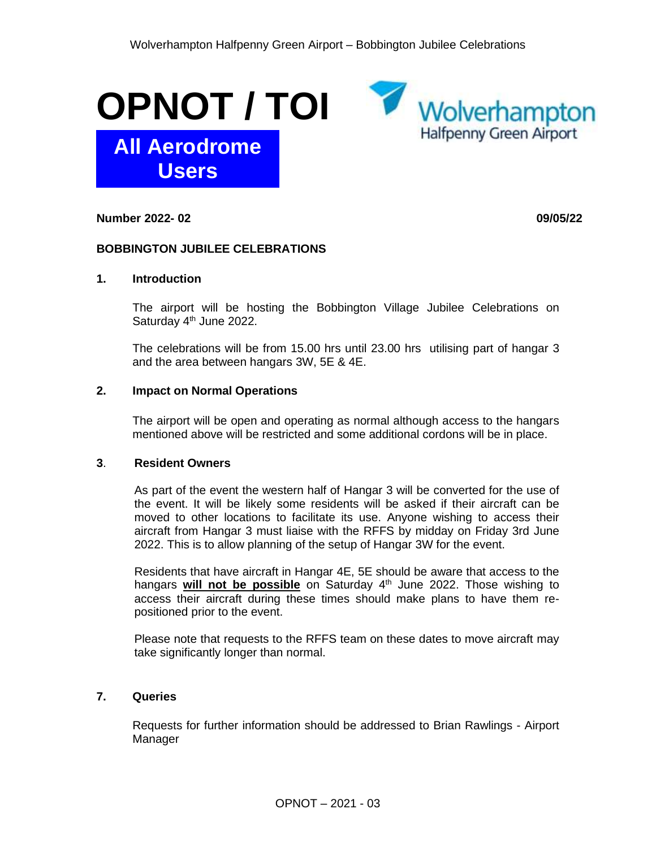



**Number 2022- 02 09/05/22**

## **BOBBINGTON JUBILEE CELEBRATIONS**

## **1. Introduction**

The airport will be hosting the Bobbington Village Jubilee Celebrations on Saturday 4<sup>th</sup> June 2022.

The celebrations will be from 15.00 hrs until 23.00 hrs utilising part of hangar 3 and the area between hangars 3W, 5E & 4E.

# **2. Impact on Normal Operations**

The airport will be open and operating as normal although access to the hangars mentioned above will be restricted and some additional cordons will be in place.

#### **3**. **Resident Owners**

As part of the event the western half of Hangar 3 will be converted for the use of the event. It will be likely some residents will be asked if their aircraft can be moved to other locations to facilitate its use. Anyone wishing to access their aircraft from Hangar 3 must liaise with the RFFS by midday on Friday 3rd June 2022. This is to allow planning of the setup of Hangar 3W for the event.

Residents that have aircraft in Hangar 4E, 5E should be aware that access to the hangars **will not be possible** on Saturday 4<sup>th</sup> June 2022. Those wishing to access their aircraft during these times should make plans to have them repositioned prior to the event.

Please note that requests to the RFFS team on these dates to move aircraft may take significantly longer than normal.

#### **7. Queries**

Requests for further information should be addressed to Brian Rawlings - Airport Manager